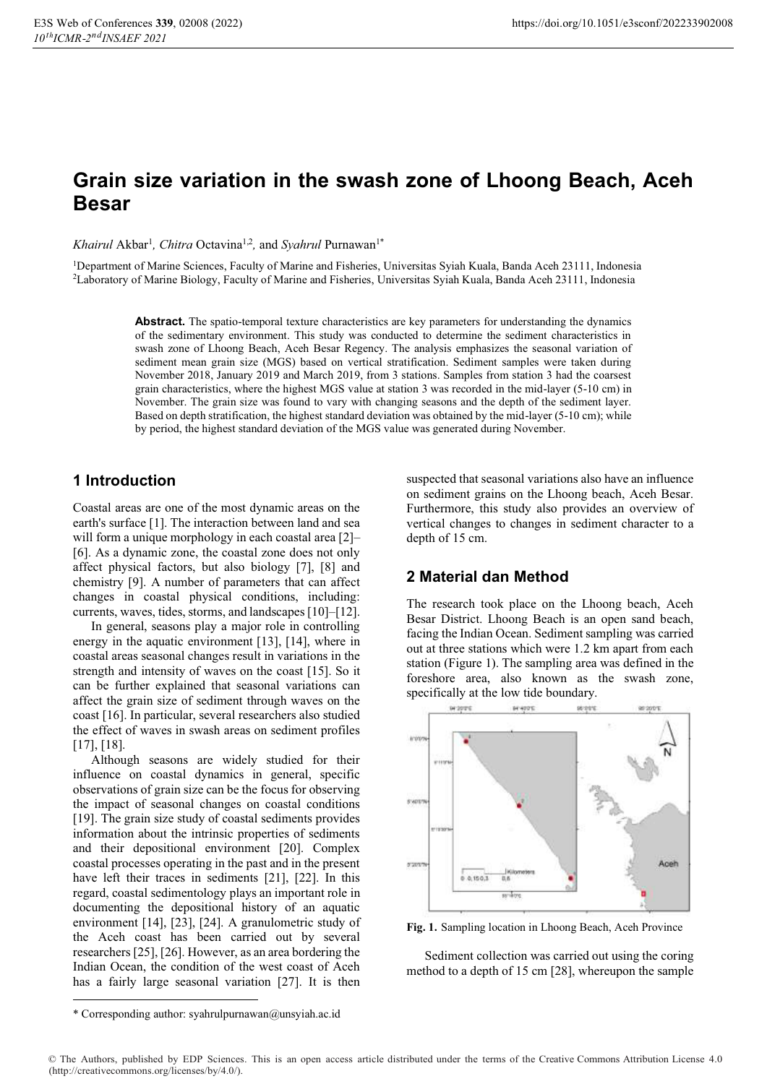# **Grain size variation in the swash zone of Lhoong Beach, Aceh Besar**

*Khairul* Akbar<sup>1</sup>, *Chitra* Octavina<sup>1,2</sup>, and *Syahrul* Purnawan<sup>1\*</sup>

1Department of Marine Sciences, Faculty of Marine and Fisheries, Universitas Syiah Kuala, Banda Aceh 23111, Indonesia 2Laboratory of Marine Biology, Faculty of Marine and Fisheries, Universitas Syiah Kuala, Banda Aceh 23111, Indonesia

> Abstract. The spatio-temporal texture characteristics are key parameters for understanding the dynamics of the sedimentary environment. This study was conducted to determine the sediment characteristics in swash zone of Lhoong Beach, Aceh Besar Regency. The analysis emphasizes the seasonal variation of sediment mean grain size (MGS) based on vertical stratification. Sediment samples were taken during November 2018, January 2019 and March 2019, from 3 stations. Samples from station 3 had the coarsest grain characteristics, where the highest MGS value at station 3 was recorded in the mid-layer (5-10 cm) in November. The grain size was found to vary with changing seasons and the depth of the sediment layer. Based on depth stratification, the highest standard deviation was obtained by the mid-layer (5-10 cm); while by period, the highest standard deviation of the MGS value was generated during November.

# **1 Introduction**

Coastal areas are one of the most dynamic areas on the earth's surface [1]. The interaction between land and sea will form a unique morphology in each coastal area [2]– [6]. As a dynamic zone, the coastal zone does not only affect physical factors, but also biology [7], [8] and chemistry [9]. A number of parameters that can affect changes in coastal physical conditions, including: currents, waves, tides, storms, and landscapes [10]–[12].

In general, seasons play a major role in controlling energy in the aquatic environment [13], [14], where in coastal areas seasonal changes result in variations in the strength and intensity of waves on the coast [15]. So it can be further explained that seasonal variations can affect the grain size of sediment through waves on the coast [16]. In particular, several researchers also studied the effect of waves in swash areas on sediment profiles [17], [18].

Although seasons are widely studied for their influence on coastal dynamics in general, specific observations of grain size can be the focus for observing the impact of seasonal changes on coastal conditions [19]. The grain size study of coastal sediments provides information about the intrinsic properties of sediments and their depositional environment [20]. Complex coastal processes operating in the past and in the present have left their traces in sediments [21], [22]. In this regard, coastal sedimentology plays an important role in documenting the depositional history of an aquatic environment [14], [23], [24]. A granulometric study of the Aceh coast has been carried out by several researchers [25], [26]. However, as an area bordering the Indian Ocean, the condition of the west coast of Aceh has a fairly large seasonal variation [27]. It is then

suspected that seasonal variations also have an influence on sediment grains on the Lhoong beach, Aceh Besar. Furthermore, this study also provides an overview of vertical changes to changes in sediment character to a depth of 15 cm.

# **2 Material dan Method**

The research took place on the Lhoong beach, Aceh Besar District. Lhoong Beach is an open sand beach, facing the Indian Ocean. Sediment sampling was carried out at three stations which were 1.2 km apart from each station (Figure 1). The sampling area was defined in the foreshore area, also known as the swash zone, specifically at the low tide boundary.



**Fig. 1.** Sampling location in Lhoong Beach, Aceh Province

Sediment collection was carried out using the coring method to a depth of 15 cm [28], whereupon the sample

<sup>\*</sup> Corresponding author: syahrulpurnawan@unsyiah.ac.id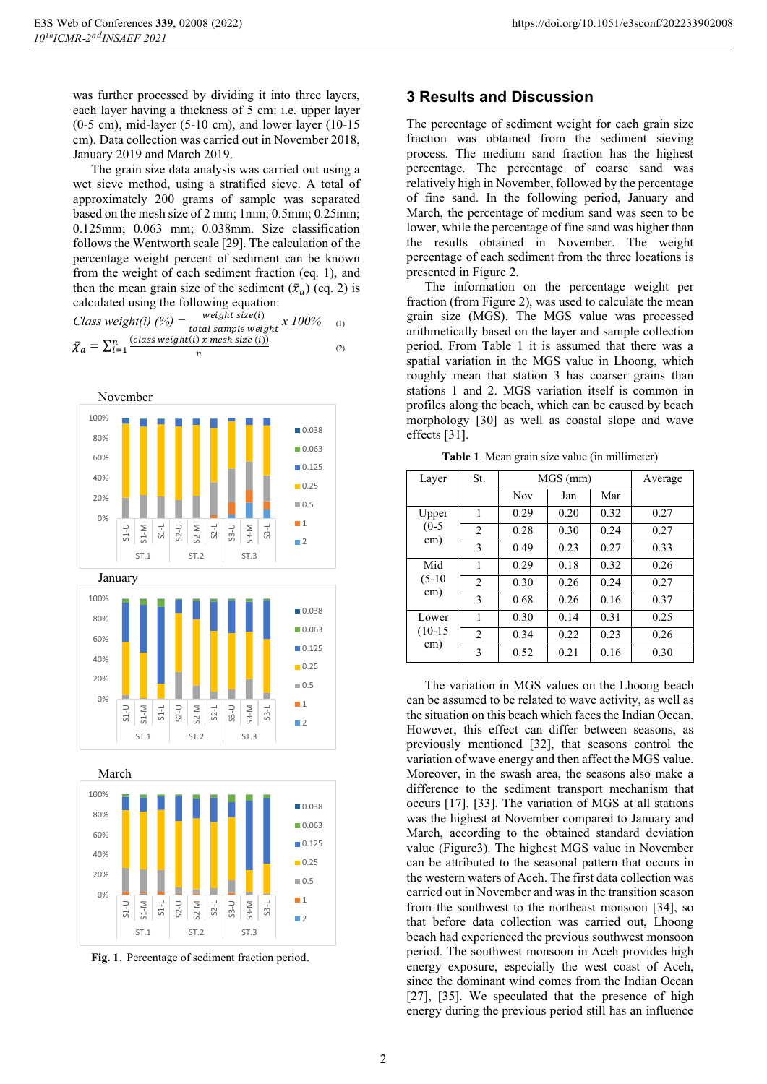was further processed by dividing it into three layers, each layer having a thickness of 5 cm: i.e. upper layer  $(0-5 \text{ cm})$ , mid-layer  $(5-10 \text{ cm})$ , and lower layer  $(10-15 \text{ cm})$ cm). Data collection was carried out in November 2018, January 2019 and March 2019.

The grain size data analysis was carried out using a wet sieve method, using a stratified sieve. A total of approximately 200 grams of sample was separated based on the mesh size of 2 mm; 1mm; 0.5mm; 0.25mm; 0.125mm; 0.063 mm; 0.038mm. Size classification follows the Wentworth scale [29]. The calculation of the percentage weight percent of sediment can be known from the weight of each sediment fraction (eq. 1), and then the mean grain size of the sediment  $(\bar{x}_a)$  (eq. 2) is ̅ calculated using the following equation:

*Class weight(i)*  $(\%) = \frac{\text{weight size}(i)}{\text{total sample weight}}$  $\frac{1}{\pi}$  *total sample weight*  $X$   $100\%$  (1)  $\bar{\chi}_a = \sum_{i=1}^n \frac{(class \, weight(i) \, x \, mesh \, size \, (i))}{n}$  $\boldsymbol{n}$  $\begin{array}{lll} n & \text{(class weight(i) x mesh size (i))} \\ i=1 & \text{ }} \end{array}$  (2)





**Fig. 1**. Percentage of sediment fraction period.

#### **3 Results and Discussion**

The percentage of sediment weight for each grain size fraction was obtained from the sediment sieving process. The medium sand fraction has the highest percentage. The percentage of coarse sand was relatively high in November, followed by the percentage of fine sand. In the following period, January and March, the percentage of medium sand was seen to be lower, while the percentage of fine sand was higher than the results obtained in November. The weight percentage of each sediment from the three locations is presented in Figure 2.

The information on the percentage weight per fraction (from Figure 2), was used to calculate the mean grain size (MGS). The MGS value was processed arithmetically based on the layer and sample collection period. From Table 1 it is assumed that there was a spatial variation in the MGS value in Lhoong, which roughly mean that station 3 has coarser grains than stations 1 and 2. MGS variation itself is common in profiles along the beach, which can be caused by beach morphology [30] as well as coastal slope and wave effects [31].

| Layer                     | St.            | MGS (mm)   |      |      | Average |
|---------------------------|----------------|------------|------|------|---------|
|                           |                | <b>Nov</b> | Jan  | Mar  |         |
| Upper<br>$(0-5)$<br>cm)   | 1              | 0.29       | 0.20 | 0.32 | 0.27    |
|                           | $\mathfrak{D}$ | 0.28       | 0.30 | 0.24 | 0.27    |
|                           | 3              | 0.49       | 0.23 | 0.27 | 0.33    |
| Mid<br>$(5-10)$<br>cm)    | 1              | 0.29       | 0.18 | 0.32 | 0.26    |
|                           | $\overline{c}$ | 0.30       | 0.26 | 0.24 | 0.27    |
|                           | 3              | 0.68       | 0.26 | 0.16 | 0.37    |
| Lower<br>$(10-15)$<br>cm) | 1              | 0.30       | 0.14 | 0.31 | 0.25    |
|                           | $\mathfrak{D}$ | 0.34       | 0.22 | 0.23 | 0.26    |
|                           | 3              | 0.52       | 0.21 | 0.16 | 0.30    |

**Table 1**. Mean grain size value (in millimeter)

The variation in MGS values on the Lhoong beach can be assumed to be related to wave activity, as well as the situation on this beach which faces the Indian Ocean. However, this effect can differ between seasons, as previously mentioned [32], that seasons control the variation of wave energy and then affect the MGS value. Moreover, in the swash area, the seasons also make a difference to the sediment transport mechanism that occurs [17], [33]. The variation of MGS at all stations was the highest at November compared to January and March, according to the obtained standard deviation value (Figure3). The highest MGS value in November can be attributed to the seasonal pattern that occurs in the western waters of Aceh. The first data collection was carried out in November and was in the transition season from the southwest to the northeast monsoon [34], so that before data collection was carried out, Lhoong beach had experienced the previous southwest monsoon period. The southwest monsoon in Aceh provides high energy exposure, especially the west coast of Aceh, since the dominant wind comes from the Indian Ocean [27], [35]. We speculated that the presence of high energy during the previous period still has an influence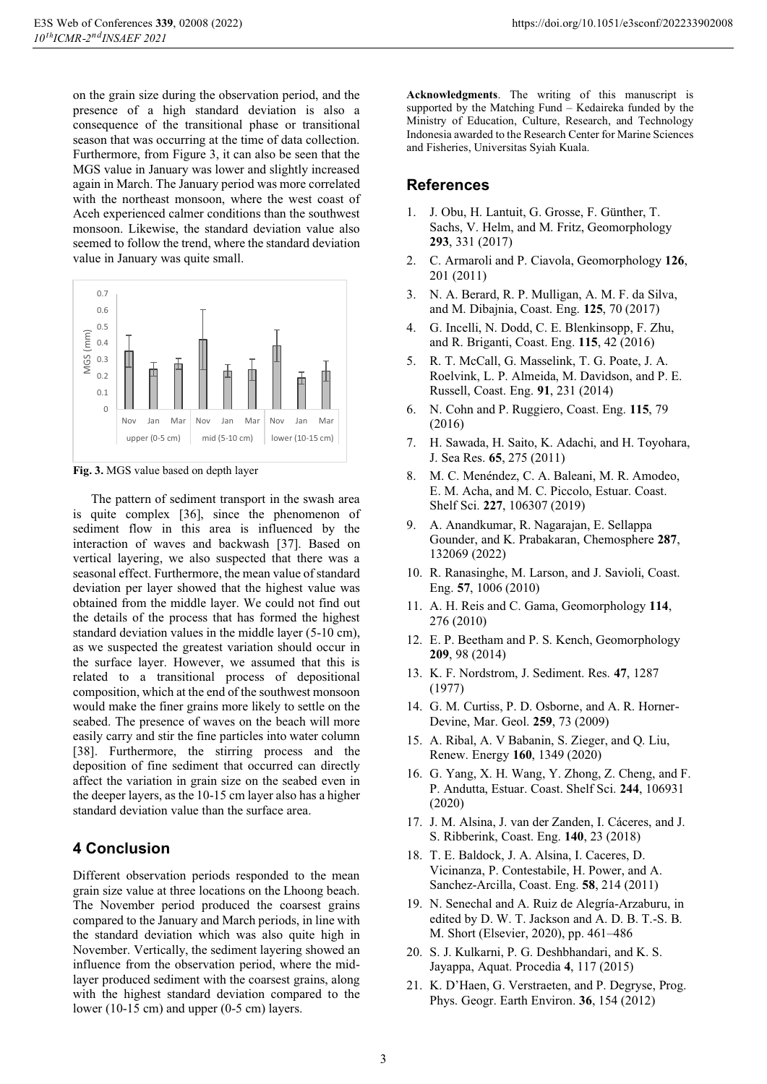on the grain size during the observation period, and the presence of a high standard deviation is also a consequence of the transitional phase or transitional season that was occurring at the time of data collection. Furthermore, from Figure 3, it can also be seen that the MGS value in January was lower and slightly increased again in March. The January period was more correlated with the northeast monsoon, where the west coast of Aceh experienced calmer conditions than the southwest monsoon. Likewise, the standard deviation value also seemed to follow the trend, where the standard deviation value in January was quite small.



**Fig. 3.** MGS value based on depth layer

The pattern of sediment transport in the swash area is quite complex [36], since the phenomenon of sediment flow in this area is influenced by the interaction of waves and backwash [37]. Based on vertical layering, we also suspected that there was a seasonal effect. Furthermore, the mean value of standard deviation per layer showed that the highest value was obtained from the middle layer. We could not find out the details of the process that has formed the highest standard deviation values in the middle layer (5-10 cm), as we suspected the greatest variation should occur in the surface layer. However, we assumed that this is related to a transitional process of depositional composition, which at the end of the southwest monsoon would make the finer grains more likely to settle on the seabed. The presence of waves on the beach will more easily carry and stir the fine particles into water column [38]. Furthermore, the stirring process and the deposition of fine sediment that occurred can directly affect the variation in grain size on the seabed even in the deeper layers, as the 10-15 cm layer also has a higher standard deviation value than the surface area.

## **4 Conclusion**

Different observation periods responded to the mean grain size value at three locations on the Lhoong beach. The November period produced the coarsest grains compared to the January and March periods, in line with the standard deviation which was also quite high in November. Vertically, the sediment layering showed an influence from the observation period, where the midlayer produced sediment with the coarsest grains, along with the highest standard deviation compared to the lower (10-15 cm) and upper (0-5 cm) layers.

**Acknowledgments**. The writing of this manuscript is supported by the Matching Fund – Kedaireka funded by the Ministry of Education, Culture, Research, and Technology Indonesia awarded to the Research Center for Marine Sciences and Fisheries, Universitas Syiah Kuala.

## **References**

- 1. J. Obu, H. Lantuit, G. Grosse, F. Günther, T. Sachs, V. Helm, and M. Fritz, Geomorphology **293**, 331 (2017)
- 2. C. Armaroli and P. Ciavola, Geomorphology **126**, 201 (2011)
- 3. N. A. Berard, R. P. Mulligan, A. M. F. da Silva, and M. Dibajnia, Coast. Eng. **125**, 70 (2017)
- 4. G. Incelli, N. Dodd, C. E. Blenkinsopp, F. Zhu, and R. Briganti, Coast. Eng. **115**, 42 (2016)
- 5. R. T. McCall, G. Masselink, T. G. Poate, J. A. Roelvink, L. P. Almeida, M. Davidson, and P. E. Russell, Coast. Eng. **91**, 231 (2014)
- 6. N. Cohn and P. Ruggiero, Coast. Eng. **115**, 79 (2016)
- 7. H. Sawada, H. Saito, K. Adachi, and H. Toyohara, J. Sea Res. **65**, 275 (2011)
- 8. M. C. Menéndez, C. A. Baleani, M. R. Amodeo, E. M. Acha, and M. C. Piccolo, Estuar. Coast. Shelf Sci. **227**, 106307 (2019)
- 9. A. Anandkumar, R. Nagarajan, E. Sellappa Gounder, and K. Prabakaran, Chemosphere **287**, 132069 (2022)
- 10. R. Ranasinghe, M. Larson, and J. Savioli, Coast. Eng. **57**, 1006 (2010)
- 11. A. H. Reis and C. Gama, Geomorphology **114**, 276 (2010)
- 12. E. P. Beetham and P. S. Kench, Geomorphology **209**, 98 (2014)
- 13. K. F. Nordstrom, J. Sediment. Res. **47**, 1287 (1977)
- 14. G. M. Curtiss, P. D. Osborne, and A. R. Horner-Devine, Mar. Geol. **259**, 73 (2009)
- 15. A. Ribal, A. V Babanin, S. Zieger, and Q. Liu, Renew. Energy **160**, 1349 (2020)
- 16. G. Yang, X. H. Wang, Y. Zhong, Z. Cheng, and F. P. Andutta, Estuar. Coast. Shelf Sci. **244**, 106931 (2020)
- 17. J. M. Alsina, J. van der Zanden, I. Cáceres, and J. S. Ribberink, Coast. Eng. **140**, 23 (2018)
- 18. T. E. Baldock, J. A. Alsina, I. Caceres, D. Vicinanza, P. Contestabile, H. Power, and A. Sanchez-Arcilla, Coast. Eng. **58**, 214 (2011)
- 19. N. Senechal and A. Ruiz de Alegría-Arzaburu, in edited by D. W. T. Jackson and A. D. B. T.-S. B. M. Short (Elsevier, 2020), pp. 461–486
- 20. S. J. Kulkarni, P. G. Deshbhandari, and K. S. Jayappa, Aquat. Procedia **4**, 117 (2015)
- 21. K. D'Haen, G. Verstraeten, and P. Degryse, Prog. Phys. Geogr. Earth Environ. **36**, 154 (2012)